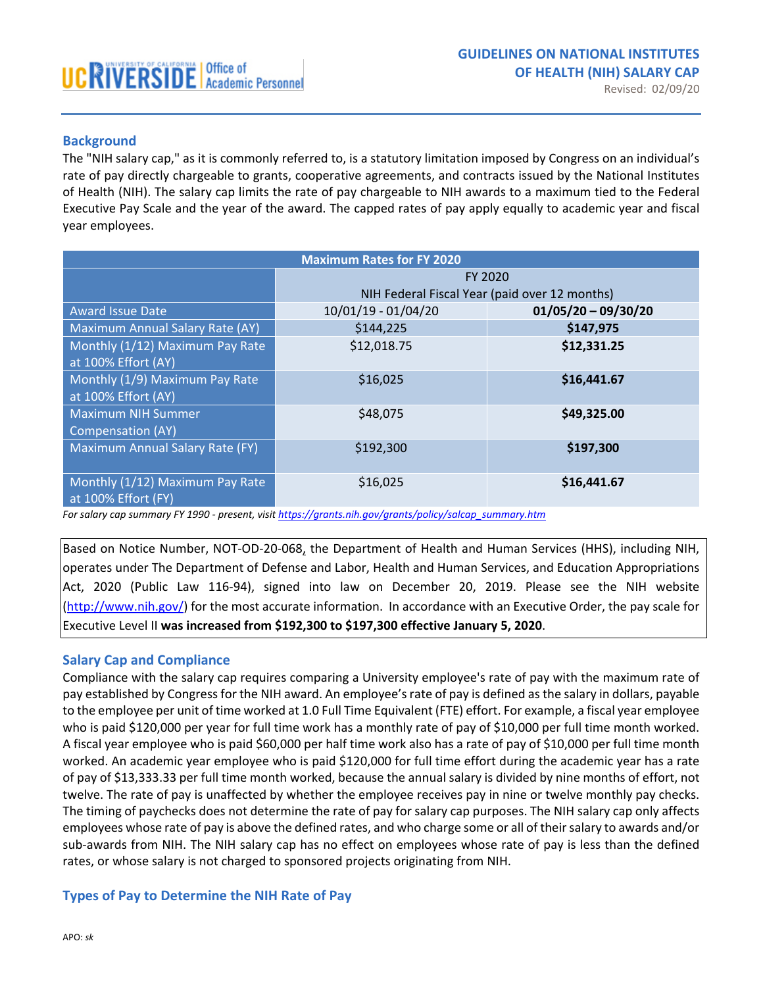# **Background**

The "NIH salary cap," as it is commonly referred to, is a statutory limitation imposed by Congress on an individual's rate of pay directly chargeable to grants, cooperative agreements, and contracts issued by the National Institutes of Health (NIH). The salary cap limits the rate of pay chargeable to NIH awards to a maximum tied to the Federal Executive Pay Scale and the year of the award. The capped rates of pay apply equally to academic year and fiscal year employees.

| <b>Maximum Rates for FY 2020</b>       |                                               |                       |
|----------------------------------------|-----------------------------------------------|-----------------------|
|                                        | <b>FY 2020</b>                                |                       |
|                                        | NIH Federal Fiscal Year (paid over 12 months) |                       |
| <b>Award Issue Date</b>                | 10/01/19 - 01/04/20                           | $01/05/20 - 09/30/20$ |
| Maximum Annual Salary Rate (AY)        | \$144,225                                     | \$147,975             |
| Monthly (1/12) Maximum Pay Rate        | \$12,018.75                                   | \$12,331.25           |
| at 100% Effort (AY)                    |                                               |                       |
| Monthly (1/9) Maximum Pay Rate         | \$16,025                                      | \$16,441.67           |
| at 100% Effort (AY)                    |                                               |                       |
| <b>Maximum NIH Summer</b>              | \$48,075                                      | \$49,325.00           |
| <b>Compensation (AY)</b>               |                                               |                       |
| <b>Maximum Annual Salary Rate (FY)</b> | \$192,300                                     | \$197,300             |
|                                        |                                               |                       |
| Monthly (1/12) Maximum Pay Rate        | \$16,025                                      | \$16,441.67           |
| at 100% Effort (FY)                    |                                               |                       |

*For salary cap summary FY 1990 - present, visi[t https://grants.nih.gov/grants/policy/salcap\\_summary.htm](https://grants.nih.gov/grants/policy/salcap_summary.htm)*

Based on Notice Number, NOT-OD-20-068, the Department of Health and Human Services (HHS), including NIH, operates under The Department of Defense and Labor, Health and Human Services, and Education Appropriations Act, 2020 (Public Law 116-94), signed into law on December 20, 2019. Please see the NIH website [\(http://www.nih.gov/\)](http://www.nih.gov/) for the most accurate information. In accordance with an Executive Order, the pay scale for Executive Level II **was increased from \$192,300 to \$197,300 effective January 5, 2020**.

### **Salary Cap and Compliance**

Compliance with the salary cap requires comparing a University employee's rate of pay with the maximum rate of pay established by Congress for the NIH award. An employee's rate of pay is defined as the salary in dollars, payable to the employee per unit of time worked at 1.0 Full Time Equivalent (FTE) effort. For example, a fiscal year employee who is paid \$120,000 per year for full time work has a monthly rate of pay of \$10,000 per full time month worked. A fiscal year employee who is paid \$60,000 per half time work also has a rate of pay of \$10,000 per full time month worked. An academic year employee who is paid \$120,000 for full time effort during the academic year has a rate of pay of \$13,333.33 per full time month worked, because the annual salary is divided by nine months of effort, not twelve. The rate of pay is unaffected by whether the employee receives pay in nine or twelve monthly pay checks. The timing of paychecks does not determine the rate of pay for salary cap purposes. The NIH salary cap only affects employees whose rate of pay is above the defined rates, and who charge some or all of their salary to awards and/or sub-awards from NIH. The NIH salary cap has no effect on employees whose rate of pay is less than the defined rates, or whose salary is not charged to sponsored projects originating from NIH.

# **Types of Pay to Determine the NIH Rate of Pay**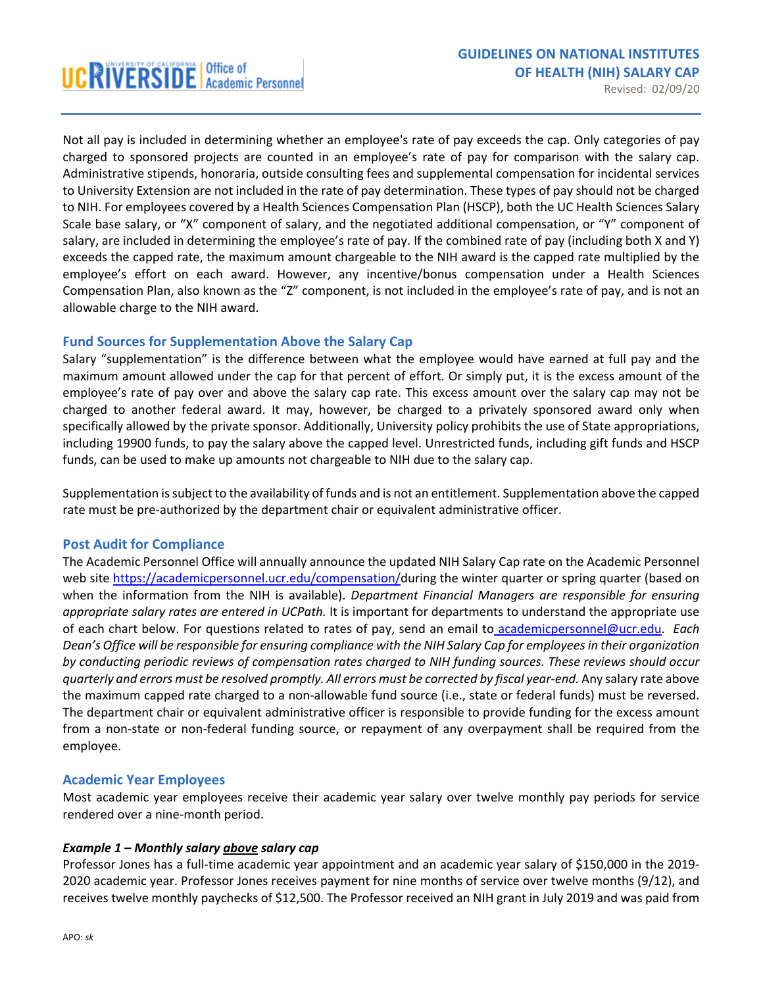Revised: 02/09/20

Not all pay is included in determining whether an employee's rate of pay exceeds the cap. Only categories of pay charged to sponsored projects are counted in an employee's rate of pay for comparison with the salary cap. Administrative stipends, honoraria, outside consulting fees and supplemental compensation for incidental services to University Extension are not included in the rate of pay determination. These types of pay should not be charged to NIH. For employees covered by a Health Sciences Compensation Plan (HSCP), both the UC Health Sciences Salary Scale base salary, or "X" component of salary, and the negotiated additional compensation, or "Y" component of salary, are included in determining the employee's rate of pay. If the combined rate of pay (including both X and Y) exceeds the capped rate, the maximum amount chargeable to the NIH award is the capped rate multiplied by the employee's effort on each award. However, any incentive/bonus compensation under a Health Sciences Compensation Plan, also known as the "Z" component, is not included in the employee's rate of pay, and is not an allowable charge to the NIH award.

## **Fund Sources for Supplementation Above the Salary Cap**

Salary "supplementation" is the difference between what the employee would have earned at full pay and the maximum amount allowed under the cap for that percent of effort. Or simply put, it is the excess amount of the employee's rate of pay over and above the salary cap rate. This excess amount over the salary cap may not be charged to another federal award. It may, however, be charged to a privately sponsored award only when specifically allowed by the private sponsor. Additionally, University policy prohibits the use of State appropriations, including 19900 funds, to pay the salary above the capped level. Unrestricted funds, including gift funds and HSCP funds, can be used to make up amounts not chargeable to NIH due to the salary cap.

Supplementation is subject to the availability of funds and is not an entitlement. Supplementation above the capped rate must be pre-authorized by the department chair or equivalent administrative officer.

### **Post Audit for Compliance**

The Academic Personnel Office will annually announce the updated NIH Salary Cap rate on the Academic Personnel web site [https://academicpersonnel.ucr.edu/compensation/d](https://academicpersonnel.ucr.edu/compensation/)uring the winter quarter or spring quarter (based on when the information from the NIH is available). *Department Financial Managers are responsible for ensuring appropriate salary rates are entered in UCPath.* It is important for departments to understand the appropriate use of each chart below. For questions related to rates of pay, send an email to [academicpersonnel@ucr.edu.](mailto:academicpersonnel@ucr.edu) *Each Dean's Office will be responsible for ensuring compliance with the NIH Salary Cap for employees in their organization by conducting periodic reviews of compensation rates charged to NIH funding sources. These reviews should occur quarterly and errors must be resolved promptly. All errors must be corrected by fiscal year-end.* Any salary rate above the maximum capped rate charged to a non-allowable fund source (i.e., state or federal funds) must be reversed. The department chair or equivalent administrative officer is responsible to provide funding for the excess amount from a non-state or non-federal funding source, or repayment of any overpayment shall be required from the employee.

### **Academic Year Employees**

Most academic year employees receive their academic year salary over twelve monthly pay periods for service rendered over a nine-month period.

### *Example 1 – Monthly salary above salary cap*

Professor Jones has a full-time academic year appointment and an academic year salary of \$150,000 in the 2019- 2020 academic year. Professor Jones receives payment for nine months of service over twelve months (9/12), and receives twelve monthly paychecks of \$12,500. The Professor received an NIH grant in July 2019 and was paid from